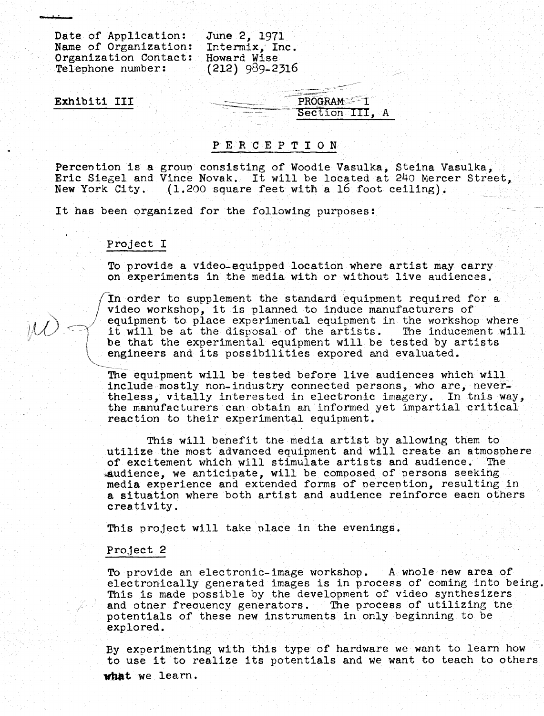Date of Application: June 2, 1971<br>Name of Organization: Intermix, Inc. Name of Organization: Intermix, Incrementation Contact: Howard Wise Organization Contact: Howard Wise<br>Telephone number: (212) 989-2316 Telephone number:

Exhibiti III

PROGRAM<sup>11</sup> Section III, A

#### P E R C E P T I O N

Perception is a group consisting of Woodie Vasulka, Steina Vasulka, Eric Siegel and Vince Novak. It will be located at 240 Mercer Street,<br>New York City. (1.200 square feet with a 16 foot ceiling).  $(1.200 \text{ square feet with a 16 foot ceiling}).$ 

It has been organized for the following purposes :

### Project I

To provide a video-equipped location where artist may carry on experiments in the media with or without live audiences .

In order to supplement the standard equipment required for a video workshop, it is planned to induce manufacturers of equipment to place experimental equipment in the workshop where it will be at the disposal of the artists. The inducement will be that the experimental equipment will be tested by artists engineers and its possibilities expored and evaluated .

The equipment will be tested before live audiences which' will include mostly non-industry connected persons, who are, nevertheless, vitally interested in electronic imagery. In this way, the manufacturers can obtain an informed yet impartial critical reaction to their experimental equipment.

This will benefit the media artist by allowing them to utilize the most advanced equipment and will create an atmosphere<br>of excitement which will stimulate artists and audience. The of excitement which will stimulate artists and audience.  $*$ audience, we anticipate, will be composed of persons seeking media experience and extended forms of perception, resulting in a situation where both artist and audience reinforce each others creativity .

This project will take place in the evenings .

#### Project 2

To provide an electronic-image workshop. A whole new area of electronically generated images is in process of coming into being . This is made possible by the development of video synthesizers and other frequency generators. The process of utilizing the potentials of these new instruments in only beginning to be explored .

By experimenting with this type of hardware we want to learn how to use it to realize its potentials and we want to teach to others what we learn.